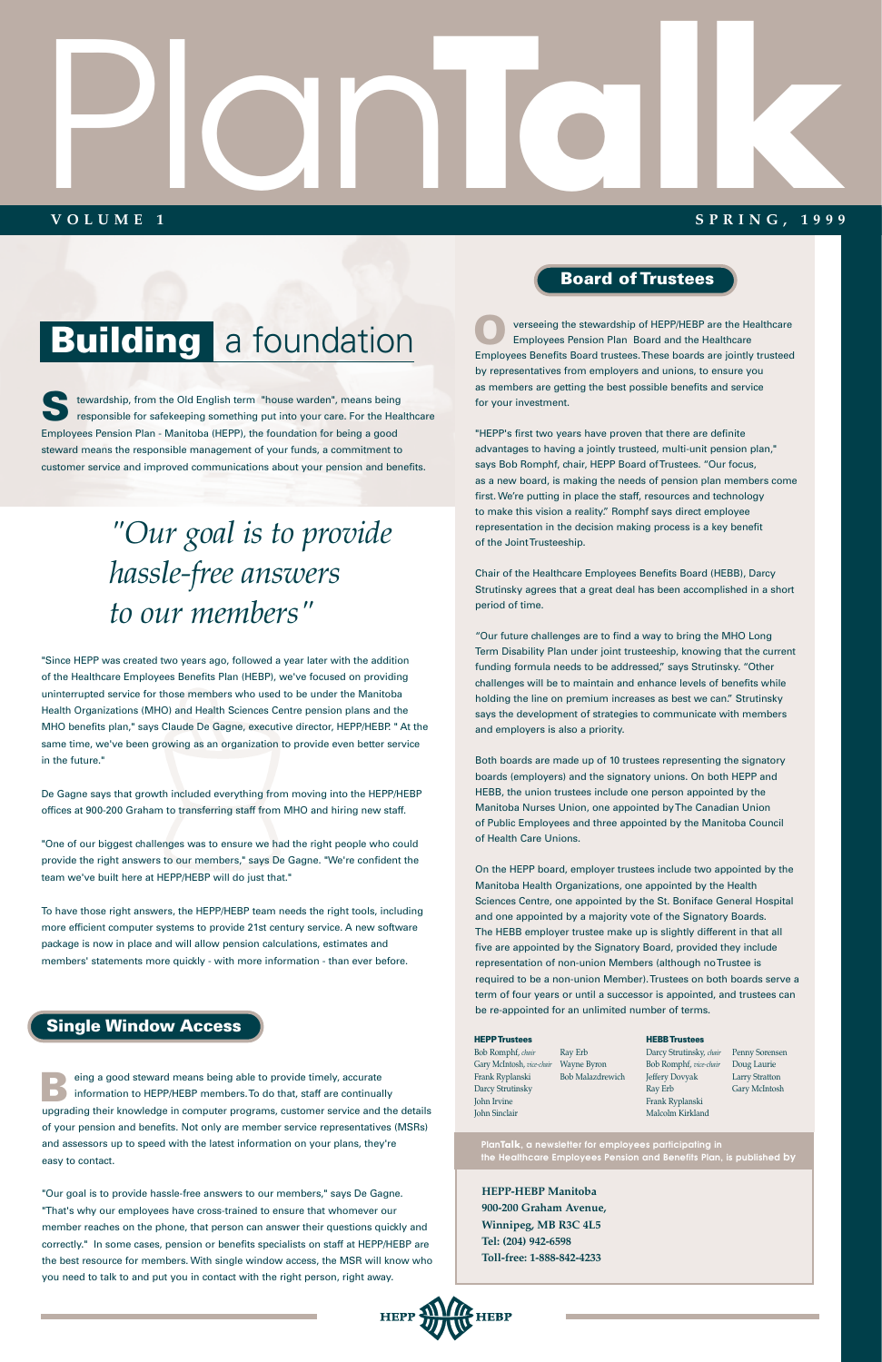"Since HEPP was created two years ago, followed a year later with the addition of the Healthcare Employees Benefits Plan (HEBP), we've focused on providing uninterrupted service for those members who used to be under the Manitoba Health Organizations (MHO) and Health Sciences Centre pension plans and the MHO benefits plan," says Claude De Gagne, executive director, HEPP/HEBP. " At the same time, we've been growing as an organization to provide even better service in the future."

tewardship, from the Old English term "house warden", means being responsible for safekeeping something put into your care. For the Healthcare Employees Pension Plan - Manitoba (HEPP), the foundation for being a good steward means the responsible management of your funds, a commitment to customer service and improved communications about your pension and benefits. **S**

De Gagne says that growth included everything from moving into the HEPP/HEBP offices at 900-200 Graham to transferring staff from MHO and hiring new staff.

"One of our biggest challenges was to ensure we had the right people who could provide the right answers to our members," says De Gagne. "We're confident the team we've built here at HEPP/HEBP will do just that."

To have those right answers, the HEPP/HEBP team needs the right tools, including more efficient computer systems to provide 21st century service. A new software package is now in place and will allow pension calculations, estimates and members' statements more quickly - with more information - than ever before.

eing a good steward means being able to provide timely, accurate information to HEPP/HEBP members. To do that, staff are continually eing a good steward means being able to provide timely, accurate<br>
information to HEPP/HEBP members. To do that, staff are continually<br>
upgrading their knowledge in computer programs, customer service and the details of your pension and benefits. Not only are member service representatives (MSRs) and assessors up to speed with the latest information on your plans, they're easy to contact.

"Our goal is to provide hassle-free answers to our members," says De Gagne. "That's why our employees have cross-trained to ensure that whomever our member reaches on the phone, that person can answer their questions quickly and correctly." In some cases, pension or benefits specialists on staff at HEPP/HEBP are the best resource for members. With single window access, the MSR will know who you need to talk to and put you in contact with the right person, right away.

# Plan **VOLUME 1 Talka 1999**

#### **SPRING, 1999**

### **Building** a foundation

**HEPP-HEBP Manitoba 900-200 Graham Avenue, Winnipeg, MB R3C 4L5 Tel: (204) 942-6598 Toll-free: 1-888-842-4233**



**PlanTalk, a newsletter for employees participating in the Healthcare Employees Pension and Benefits Plan, is published by**

### *"Our goal is to provide hassle-free answers to our members"*

### **Board of Trustees**

#### **Single Window Access**

"HEPP's first two years have proven that there are definite advantages to having a jointly trusteed, multi-unit pension plan," says Bob Romphf, chair, HEPP Board of Trustees. "Our focus, as a new board, is making the needs of pension plan members come first. We're putting in place the staff, resources and technology to make this vision a reality." Romphf says direct employee representation in the decision making process is a key benefit of the Joint Trusteeship.

Chair of the Healthcare Employees Benefits Board (HEBB), Darcy Strutinsky agrees that a great deal has been accomplished in a short period of time.

"Our future challenges are to find a way to bring the MHO Long Term Disability Plan under joint trusteeship, knowing that the current funding formula needs to be addressed," says Strutinsky. "Other challenges will be to maintain and enhance levels of benefits while holding the line on premium increases as best we can." Strutinsky says the development of strategies to communicate with members and employers is also a priority.

verseeing the stewardship of HEPP/HEBP are the Healthcare Employees Pension Plan Board and the Healthcare Employees Benefits Board trustees. These boards are jointly trusteed by representatives from employers and unions, to ensure you as members are getting the best possible benefits and service for your investment. **O**

Both boards are made up of 10 trustees representing the signatory boards (employers) and the signatory unions. On both HEPP and HEBB, the union trustees include one person appointed by the Manitoba Nurses Union, one appointed by The Canadian Union of Public Employees and three appointed by the Manitoba Council of Health Care Unions.

On the HEPP board, employer trustees include two appointed by the Manitoba Health Organizations, one appointed by the Health Sciences Centre, one appointed by the St. Boniface General Hospital and one appointed by a majority vote of the Signatory Boards. The HEBB employer trustee make up is slightly different in that all five are appointed by the Signatory Board, provided they include representation of non-union Members (although no Trustee is required to be a non-union Member). Trustees on both boards serve a term of four years or until a successor is appointed, and trustees can

be re-appointed for an unlimited number of terms.

#### **HEPP Trustees** Bob Romphf, *chair* Gary McIntosh, *vice-chair*  Wayne Byron Frank Ryplanski Darcy Strutinsky John Irvine John Sinclair Ray Erb Bob Malazdrewich

#### **HEBB Trustees**

Darcy Strutinsky, *chair* Penny Sorensen Bob Romphf, *vice-chair* Doug Laurie Jeffery Dovyak Ray Erb Frank Ryplanski Malcolm Kirkland

Larry Stratton Gary McIntosh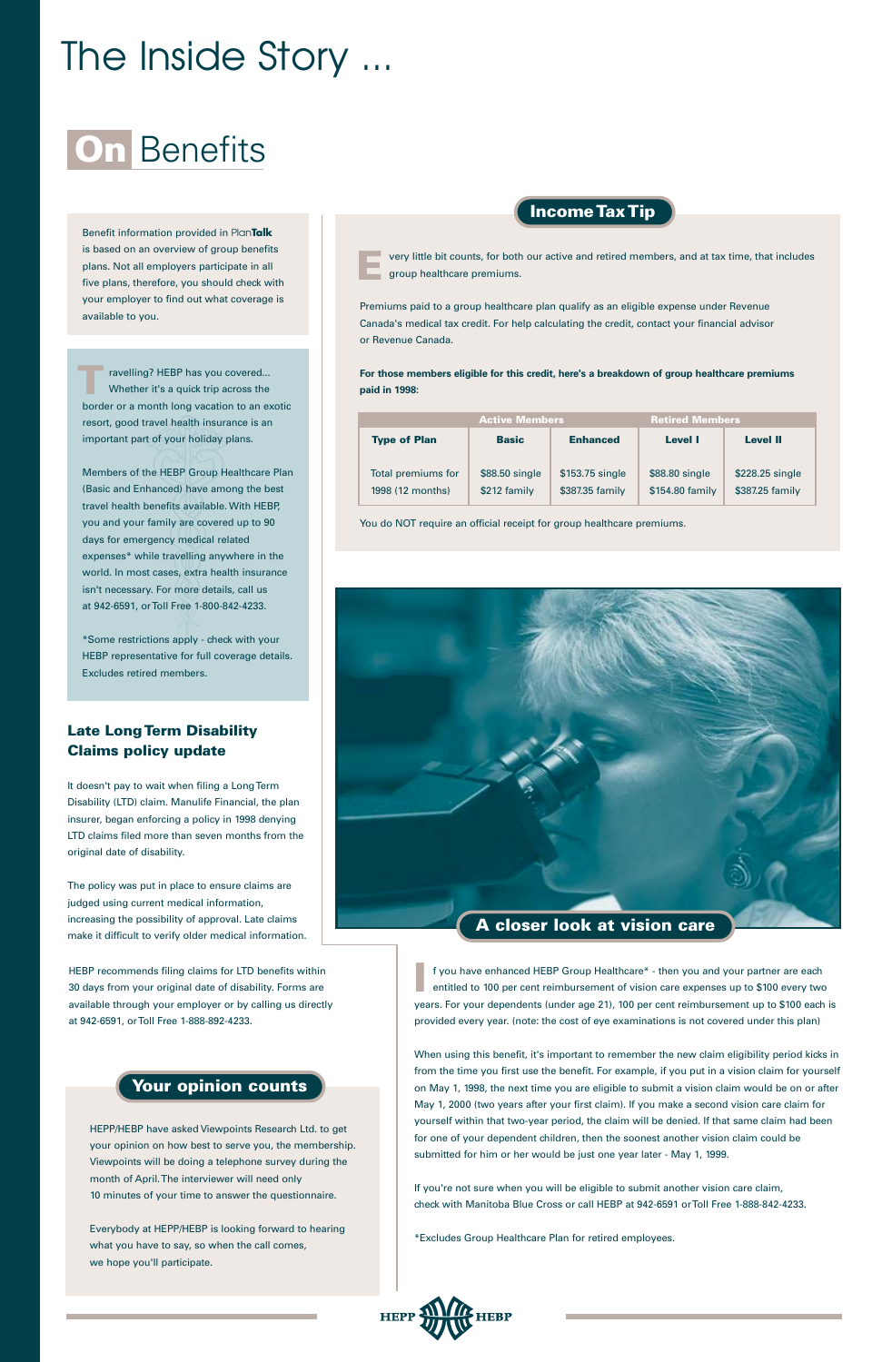# The Inside Story ...

### **On** Benefits

f you have enhanced HEBP Group Healthcare\* - then you and your partner are each entitled to 100 per cent reimbursement of vision care expenses up to \$100 every two years. For your dependents (under age 21), 100 per cent reimbursement up to \$100 each is provided every year. (note: the cost of eye examinations is not covered under this plan) **I**

When using this benefit, it's important to remember the new claim eligibility period kicks in from the time you first use the benefit. For example, if you put in a vision claim for yourself on May 1, 1998, the next time you are eligible to submit a vision claim would be on or after May 1, 2000 (two years after your first claim). If you make a second vision care claim for yourself within that two-year period, the claim will be denied. If that same claim had been for one of your dependent children, then the soonest another vision claim could be submitted for him or her would be just one year later - May 1, 1999.

If you're not sure when you will be eligible to submit another vision care claim, check with Manitoba Blue Cross or call HEBP at 942-6591 or Toll Free 1-888-842-4233.

\*Excludes Group Healthcare Plan for retired employees.



#### **Late Long Term Disability Claims policy update**

It doesn't pay to wait when filing a Long Term Disability (LTD) claim. Manulife Financial, the plan insurer, began enforcing a policy in 1998 denying LTD claims filed more than seven months from the original date of disability.

The policy was put in place to ensure claims are judged using current medical information, increasing the possibility of approval. Late claims make it difficult to verify older medical information. Premiums paid to a group healthcare plan qualify as an eligible expense under Revenue Canada's medical tax credit. For help calculating the credit, contact your financial advisor or Revenue Canada.

very little bit counts, for both our active and retired members, and at tax time, that includes group healthcare premiums. **E**

**For those members eligible for this credit, here's a breakdown of group healthcare premiums paid in 1998:**

| <b>Active Members</b> |                 |                 | <b>Retired Members</b> |  |
|-----------------------|-----------------|-----------------|------------------------|--|
| <b>Basic</b>          | <b>Enhanced</b> | Level I         | <b>Level II</b>        |  |
|                       |                 |                 |                        |  |
| \$88.50 single        | \$153.75 single | \$88.80 single  | \$228.25 single        |  |
| \$212 family          | \$387.35 family | \$154.80 family | \$387.25 family        |  |
|                       |                 |                 |                        |  |

You do NOT require an official receipt for group healthcare premiums.



HEPP/HEBP have asked Viewpoints Research Ltd. to get your opinion on how best to serve you, the membership. Viewpoints will be doing a telephone survey during the month of April. The interviewer will need only 10 minutes of your time to answer the questionnaire.

Everybody at HEPP/HEBP is looking forward to hearing what you have to say, so when the call comes, we hope you'll participate.

#### **Your opinion counts**

#### **Income Tax Tip**

Members of the HEBP Group Healthcare Plan (Basic and Enhanced) have among the best travel health benefits available. With HEBP, you and your family are covered up to 90 days for emergency medical related expenses\* while travelling anywhere in the world. In most cases, extra health insurance isn't necessary. For more details, call us at 942-6591, or Toll Free 1-800-842-4233.

ravelling? HEBP has you covered... Whether it's a quick trip across the border or a month long vacation to an exotic resort, good travel health insurance is an important part of your holiday plans. **T**

\*Some restrictions apply - check with your HEBP representative for full coverage details. Excludes retired members.

Benefit information provided in Plan**Talk**  is based on an overview of group benefits plans. Not all employers participate in all five plans, therefore, you should check with your employer to find out what coverage is available to you.

HEBP recommends filing claims for LTD benefits within 30 days from your original date of disability. Forms are available through your employer or by calling us directly at 942-6591, or Toll Free 1-888-892-4233.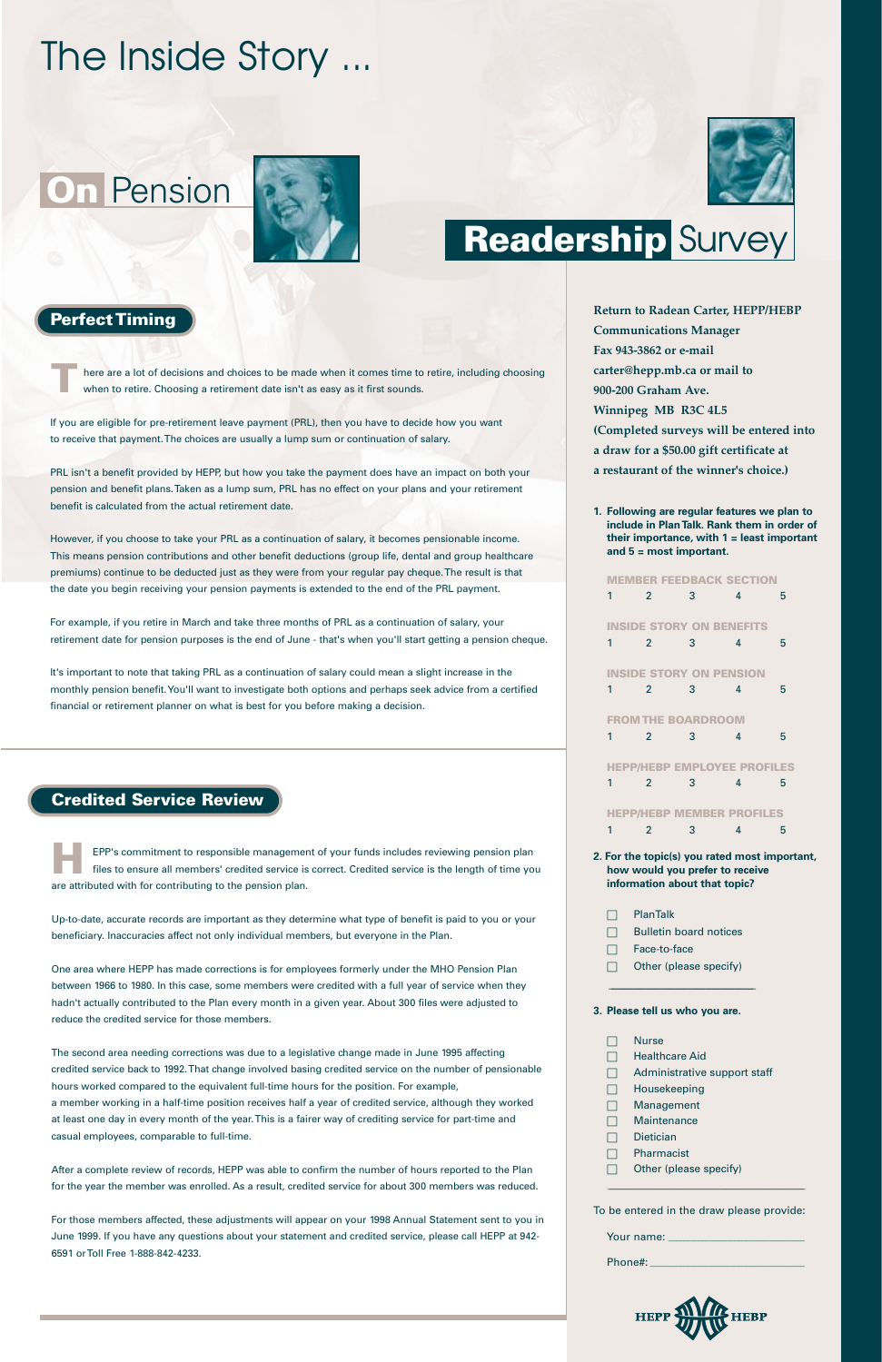### **On** Pension



# The Inside Story ...

**Return to Radean Carter, HEPP/HEBP Communications Manager Fax 943-3862 or e-mail carter@hepp.mb.ca or mail to 900-200 Graham Ave. Winnipeg MB R3C 4L5 (Completed surveys will be entered into a draw for a \$50.00 gift certificate at a restaurant of the winner's choice.)**

**1. Following are regular features we plan to include in Plan Talk. Rank them in order of their importance, with 1 = least important and 5 = most important.**

**MEMBER FEEDBACK SECTION**

| 1 | $\overline{2}$ | 3                             | 4                                  | 5                                             |  |
|---|----------------|-------------------------------|------------------------------------|-----------------------------------------------|--|
|   |                |                               | <b>INSIDE STORY ON BENEFITS</b>    |                                               |  |
| 1 | $\mathfrak{p}$ | 3                             | 4                                  | 5                                             |  |
|   |                |                               | <b>INSIDE STORY ON PENSION</b>     |                                               |  |
| 1 | $\overline{2}$ | 3                             | 4                                  | 5                                             |  |
|   |                | <b>FROM THE BOARDROOM</b>     |                                    |                                               |  |
| 1 | $\overline{2}$ | 3                             | 4                                  | 5                                             |  |
|   |                |                               | <b>HEPP/HEBP EMPLOYEE PROFILES</b> |                                               |  |
| 1 | $\mathfrak{p}$ | 3                             | 4                                  | 5                                             |  |
|   |                |                               | <b>HEPP/HEBP MEMBER PROFILES</b>   |                                               |  |
| 1 | $\mathfrak{p}$ | 3                             | 4                                  | 5                                             |  |
|   |                | information about that topic? | how would you prefer to receive    | 2. For the topic(s) you rated most important, |  |
|   | PlanTalk       |                               |                                    |                                               |  |

- $\Box$  Bulletin board notices
- □ Face-to-face
- □ Other (please specify)

\_\_\_\_\_\_\_\_\_\_\_\_\_\_\_\_\_\_\_\_\_\_\_\_\_\_\_\_\_\_\_\_\_\_\_\_\_\_\_\_\_\_\_\_\_\_\_\_\_\_\_\_\_\_



#### **3. Please tell us who you are.**

|     | Nurse                        |
|-----|------------------------------|
|     | <b>Healthcare Aid</b>        |
|     | Administrative support staff |
|     | Housekeeping                 |
| I I | Management                   |
|     |                              |

- □ Maintenance
- □ Dietician
- □ Pharmacist
- $\Box$  Other (please specify)

\_\_\_\_\_\_\_\_\_\_\_\_\_\_\_\_\_\_\_\_\_\_\_\_\_\_\_\_\_\_\_\_\_\_\_\_\_\_\_\_\_\_\_\_\_\_\_\_\_\_\_\_\_\_\_\_\_\_\_\_\_\_\_\_\_\_\_\_\_\_\_\_\_\_\_\_\_\_\_\_\_\_\_\_\_\_\_\_\_\_\_\_\_\_\_\_\_\_\_\_\_

To be entered in the draw please provide:

| Your name: |  |
|------------|--|
| Phone#:    |  |



### **Readership** Survey

#### **Perfect Timing**

If you are eligible for pre-retirement leave payment (PRL), then you have to decide how you want to receive that payment. The choices are usually a lump sum or continuation of salary.

PRL isn't a benefit provided by HEPP, but how you take the payment does have an impact on both your pension and benefit plans. Taken as a lump sum, PRL has no effect on your plans and your retirement benefit is calculated from the actual retirement date.

here are a lot of decisions and choices to be made when it comes time to retire, including choosing when to retire. Choosing a retirement date isn't as easy as it first sounds. **T**

However, if you choose to take your PRL as a continuation of salary, it becomes pensionable income. This means pension contributions and other benefit deductions (group life, dental and group healthcare premiums) continue to be deducted just as they were from your regular pay cheque. The result is that the date you begin receiving your pension payments is extended to the end of the PRL payment.

For example, if you retire in March and take three months of PRL as a continuation of salary, your retirement date for pension purposes is the end of June - that's when you'll start getting a pension cheque.

It's important to note that taking PRL as a continuation of salary could mean a slight increase in the monthly pension benefit. You'll want to investigate both options and perhaps seek advice from a certified financial or retirement planner on what is best for you before making a decision.

#### **Credited Service Review**

Up-to-date, accurate records are important as they determine what type of benefit is paid to you or your beneficiary. Inaccuracies affect not only individual members, but everyone in the Plan.

One area where HEPP has made corrections is for employees formerly under the MHO Pension Plan between 1966 to 1980. In this case, some members were credited with a full year of service when they hadn't actually contributed to the Plan every month in a given year. About 300 files were adjusted to reduce the credited service for those members.

EPP's commitment to responsible management of your funds includes reviewing pension plan files to ensure all members' credited service is correct. Credited service is the length of time you are attributed with for contributing to the pension plan. **H**

The second area needing corrections was due to a legislative change made in June 1995 affecting credited service back to 1992. That change involved basing credited service on the number of pensionable hours worked compared to the equivalent full-time hours for the position. For example, a member working in a half-time position receives half a year of credited service, although they worked at least one day in every month of the year. This is a fairer way of crediting service for part-time and casual employees, comparable to full-time.

After a complete review of records, HEPP was able to confirm the number of hours reported to the Plan for the year the member was enrolled. As a result, credited service for about 300 members was reduced.

For those members affected, these adjustments will appear on your 1998 Annual Statement sent to you in June 1999. If you have any questions about your statement and credited service, please call HEPP at 942- 6591 or Toll Free 1-888-842-4233.